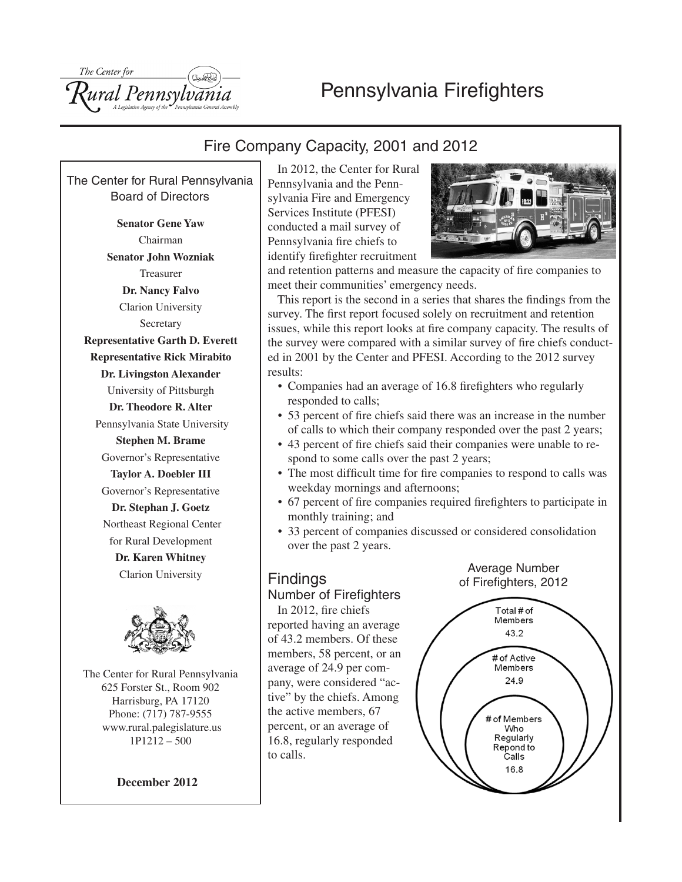# Pennsylvania Firefighters



## Fire Company Capacity, 2001 and 2012

The Center for Rural Pennsylvania Board of Directors

**Senator Gene Yaw** Chairman **Senator John Wozniak** Treasurer **Dr. Nancy Falvo** Clarion University Secretary **Representative Garth D. Everett Representative Rick Mirabito Dr. Livingston Alexander** University of Pittsburgh **Dr. Theodore R. Alter** Pennsylvania State University **Stephen M. Brame** Governor's Representative **Taylor A. Doebler III** Governor's Representative **Dr. Stephan J. Goetz** Northeast Regional Center for Rural Development **Dr. Karen Whitney** Clarion University



The Center for Rural Pennsylvania 625 Forster St., Room 902 Harrisburg, PA 17120 Phone: (717) 787-9555 www.rural.palegislature.us 1P1212 – 500

**December 2012**

In 2012, the Center for Rural Pennsylvania and the Pennsylvania Fire and Emergency Services Institute (PFESI) conducted a mail survey of Pennsylvania fire chiefs to identify firefighter recruitment



and retention patterns and measure the capacity of fire companies to meet their communities' emergency needs.

This report is the second in a series that shares the findings from the survey. The first report focused solely on recruitment and retention issues, while this report looks at fire company capacity. The results of the survey were compared with a similar survey of fire chiefs conducted in 2001 by the Center and PFESI. According to the 2012 survey results:

- Companies had an average of 16.8 firefighters who regularly responded to calls;
- 53 percent of fire chiefs said there was an increase in the number of calls to which their company responded over the past 2 years;
- 43 percent of fire chiefs said their companies were unable to respond to some calls over the past 2 years;
- The most difficult time for fire companies to respond to calls was weekday mornings and afternoons;
- • 67 percent of fire companies required firefighters to participate in monthly training; and
- 33 percent of companies discussed or considered consolidation over the past 2 years.

## Findings

## Number of Firefighters

In 2012, fire chiefs reported having an average of 43.2 members. Of these members, 58 percent, or an average of 24.9 per company, were considered "active" by the chiefs. Among the active members, 67 percent, or an average of 16.8, regularly responded to calls.



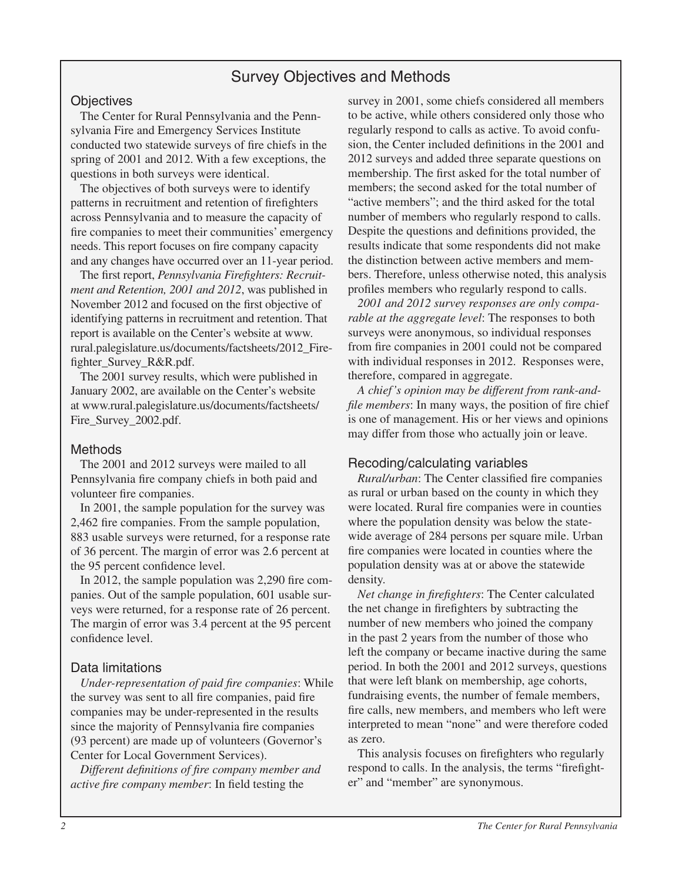## Survey Objectives and Methods

#### **Objectives**

The Center for Rural Pennsylvania and the Pennsylvania Fire and Emergency Services Institute conducted two statewide surveys of fire chiefs in the spring of 2001 and 2012. With a few exceptions, the questions in both surveys were identical.

The objectives of both surveys were to identify patterns in recruitment and retention of firefighters across Pennsylvania and to measure the capacity of fire companies to meet their communities' emergency needs. This report focuses on fire company capacity and any changes have occurred over an 11-year period.

The first report, *Pennsylvania Firefighters: Recruitment and Retention, 2001 and 2012*, was published in November 2012 and focused on the first objective of identifying patterns in recruitment and retention. That report is available on the Center's website at www. rural.palegislature.us/documents/factsheets/2012\_Firefighter\_Survey\_R&R.pdf.

The 2001 survey results, which were published in January 2002, are available on the Center's website at www.rural.palegislature.us/documents/factsheets/ Fire\_Survey\_2002.pdf.

### Methods

The 2001 and 2012 surveys were mailed to all Pennsylvania fire company chiefs in both paid and volunteer fire companies.

In 2001, the sample population for the survey was 2,462 fire companies. From the sample population, 883 usable surveys were returned, for a response rate of 36 percent. The margin of error was 2.6 percent at the 95 percent confidence level.

In 2012, the sample population was 2,290 fire companies. Out of the sample population, 601 usable surveys were returned, for a response rate of 26 percent. The margin of error was 3.4 percent at the 95 percent confidence level.

### Data limitations

*Under-representation of paid fire companies*: While the survey was sent to all fire companies, paid fire companies may be under-represented in the results since the majority of Pennsylvania fire companies (93 percent) are made up of volunteers (Governor's Center for Local Government Services).

*Different definitions of fire company member and active fire company member*: In field testing the

survey in 2001, some chiefs considered all members to be active, while others considered only those who regularly respond to calls as active. To avoid confusion, the Center included definitions in the 2001 and 2012 surveys and added three separate questions on membership. The first asked for the total number of members; the second asked for the total number of "active members"; and the third asked for the total number of members who regularly respond to calls. Despite the questions and definitions provided, the results indicate that some respondents did not make the distinction between active members and members. Therefore, unless otherwise noted, this analysis profiles members who regularly respond to calls.

*2001 and 2012 survey responses are only comparable at the aggregate level*: The responses to both surveys were anonymous, so individual responses from fire companies in 2001 could not be compared with individual responses in 2012. Responses were, therefore, compared in aggregate.

*A chief's opinion may be different from rank-andfile members*: In many ways, the position of fire chief is one of management. His or her views and opinions may differ from those who actually join or leave.

### Recoding/calculating variables

*Rural/urban*: The Center classified fire companies as rural or urban based on the county in which they were located. Rural fire companies were in counties where the population density was below the statewide average of 284 persons per square mile. Urban fire companies were located in counties where the population density was at or above the statewide density.

*Net change in firefighters*: The Center calculated the net change in firefighters by subtracting the number of new members who joined the company in the past 2 years from the number of those who left the company or became inactive during the same period. In both the 2001 and 2012 surveys, questions that were left blank on membership, age cohorts, fundraising events, the number of female members, fire calls, new members, and members who left were interpreted to mean "none" and were therefore coded as zero.

This analysis focuses on firefighters who regularly respond to calls. In the analysis, the terms "firefighter" and "member" are synonymous.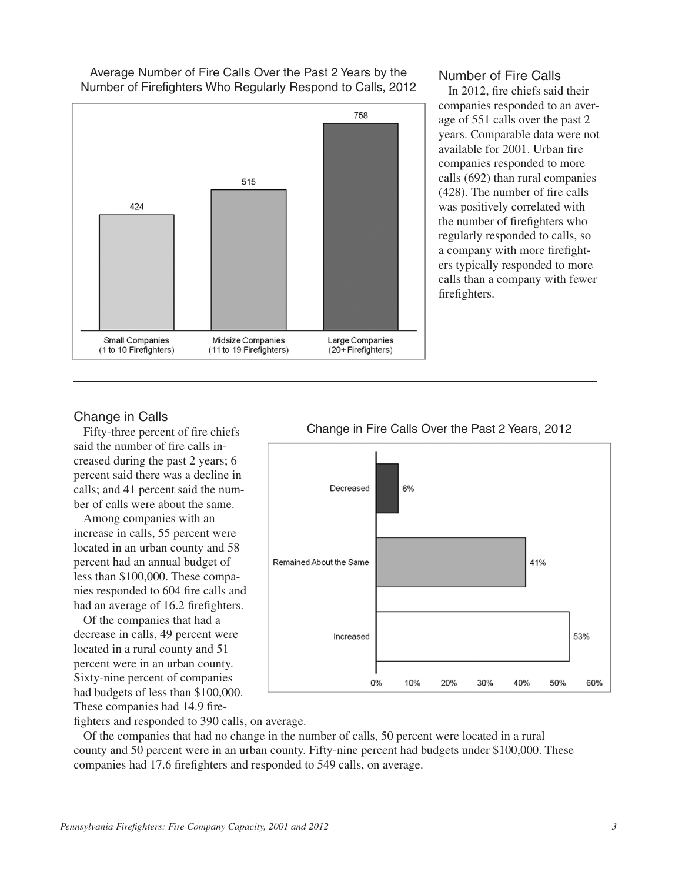Average Number of Fire Calls Over the Past 2 Years by the Number of Firefighters Who Regularly Respond to Calls, 2012



## Number of Fire Calls

In 2012, fire chiefs said their companies responded to an average of 551 calls over the past 2 years. Comparable data were not available for 2001. Urban fire companies responded to more calls (692) than rural companies (428). The number of fire calls was positively correlated with the number of firefighters who regularly responded to calls, so a company with more firefighters typically responded to more calls than a company with fewer firefighters.

#### Change in Calls

Fifty-three percent of fire chiefs said the number of fire calls increased during the past 2 years; 6 percent said there was a decline in calls; and 41 percent said the number of calls were about the same.

Among companies with an increase in calls, 55 percent were located in an urban county and 58 percent had an annual budget of less than \$100,000. These companies responded to 604 fire calls and had an average of 16.2 firefighters.

Of the companies that had a decrease in calls, 49 percent were located in a rural county and 51 percent were in an urban county. Sixty-nine percent of companies had budgets of less than \$100,000. These companies had 14.9 fire-



#### Change in Fire Calls Over the Past 2 Years, 2012

fighters and responded to 390 calls, on average.

Of the companies that had no change in the number of calls, 50 percent were located in a rural county and 50 percent were in an urban county. Fifty-nine percent had budgets under \$100,000. These companies had 17.6 firefighters and responded to 549 calls, on average.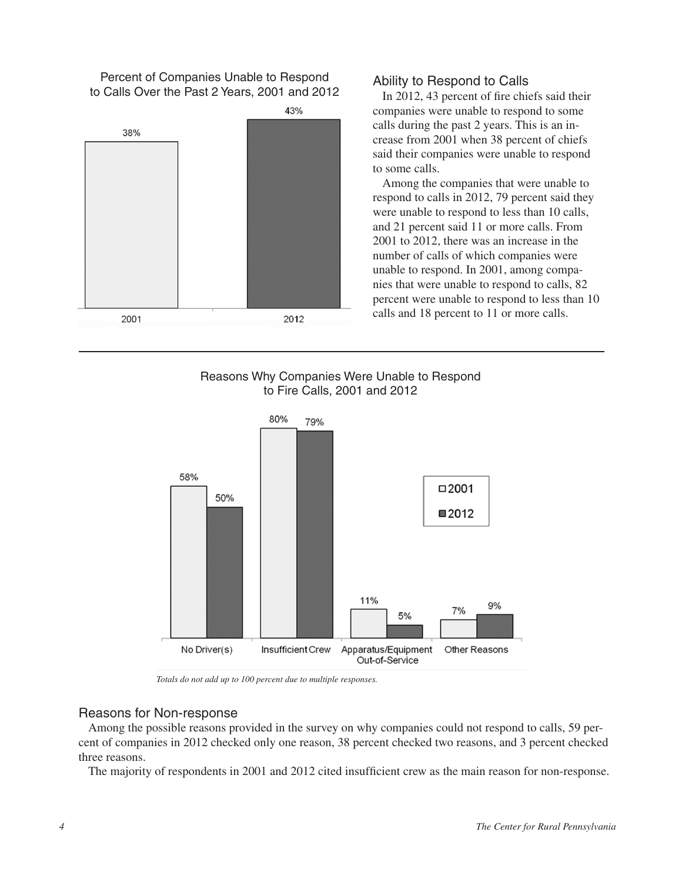Percent of Companies Unable to Respond to Calls Over the Past 2 Years, 2001 and 2012



## Ability to Respond to Calls

In 2012, 43 percent of fire chiefs said their companies were unable to respond to some calls during the past 2 years. This is an increase from 2001 when 38 percent of chiefs said their companies were unable to respond to some calls.

Among the companies that were unable to respond to calls in 2012, 79 percent said they were unable to respond to less than 10 calls, and 21 percent said 11 or more calls. From 2001 to 2012, there was an increase in the number of calls of which companies were unable to respond. In 2001, among companies that were unable to respond to calls, 82 percent were unable to respond to less than 10 calls and 18 percent to 11 or more calls.

## Reasons Why Companies Were Unable to Respond to Fire Calls, 2001 and 2012



*Totals do not add up to 100 percent due to multiple responses.* 

### Reasons for Non-response

Among the possible reasons provided in the survey on why companies could not respond to calls, 59 percent of companies in 2012 checked only one reason, 38 percent checked two reasons, and 3 percent checked three reasons.

The majority of respondents in 2001 and 2012 cited insufficient crew as the main reason for non-response.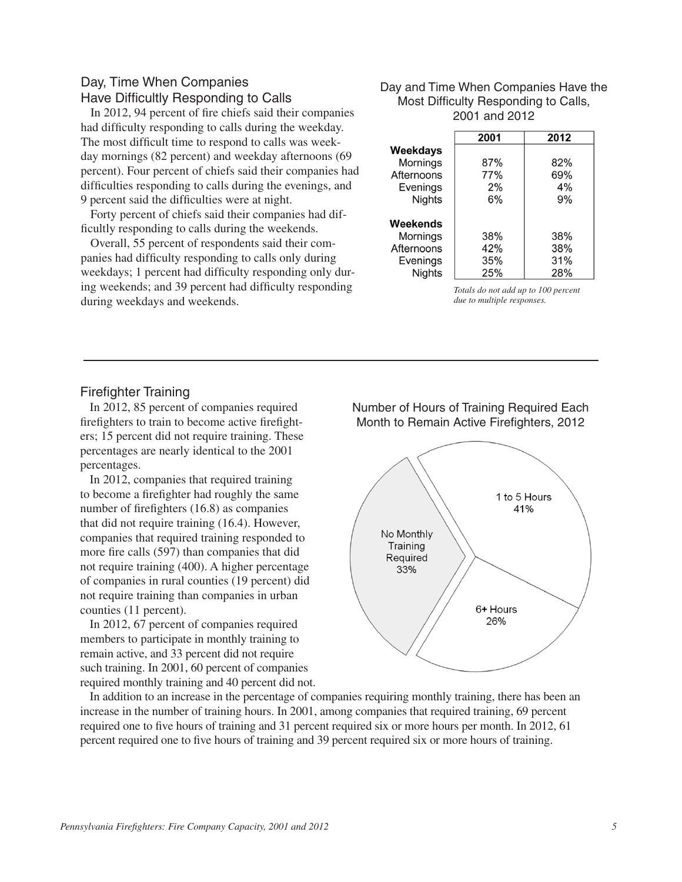## Day, Time When Companies Have Difficultly Responding to Calls

In 2012, 94 percent of fire chiefs said their companies had difficulty responding to calls during the weekday. The most difficult time to respond to calls was weekday mornings (82 percent) and weekday afternoons (69 percent). Four percent of chiefs said their companies had difficulties responding to calls during the evenings, and 9 percent said the difficulties were at night.

Forty percent of chiefs said their companies had difficultly responding to calls during the weekends.

Overall, 55 percent of respondents said their companies had difficulty responding to calls only during weekdays; 1 percent had difficulty responding only during weekends; and 39 percent had difficulty responding during weekdays and weekends.

#### Day and Time When Companies Have the Most Difficulty Responding to Calls, 2001 and 2012

|               | 2001 | 2012 |
|---------------|------|------|
| Weekdays      |      |      |
| Mornings      | 87%  | 82%  |
| Afternoons    | 77%  | 69%  |
| Evenings      | 2%   | 4%   |
| <b>Nights</b> | 6%   | 9%   |
|               |      |      |
| Weekends      |      |      |
| Mornings      | 38%  | 38%  |
| Afternoons    | 42%  | 38%  |
| Evenings      | 35%  | 31%  |
| Nights        | 25%  | 28%  |

*Totals do not add up to 100 percent due to multiple responses.*

## Firefighter Training

In 2012, 85 percent of companies required firefighters to train to become active firefighters; 15 percent did not require training. These percentages are nearly identical to the 2001 percentages.

In 2012, companies that required training to become a firefighter had roughly the same number of firefighters (16.8) as companies that did not require training (16.4). However, companies that required training responded to more fire calls (597) than companies that did not require training (400). A higher percentage of companies in rural counties (19 percent) did not require training than companies in urban counties (11 percent).

In 2012, 67 percent of companies required members to participate in monthly training to remain active, and 33 percent did not require such training. In 2001, 60 percent of companies required monthly training and 40 percent did not. Number of Hours of Training Required Each Month to Remain Active Firefighters, 2012



In addition to an increase in the percentage of companies requiring monthly training, there has been an increase in the number of training hours. In 2001, among companies that required training, 69 percent required one to five hours of training and 31 percent required six or more hours per month. In 2012, 61 percent required one to five hours of training and 39 percent required six or more hours of training.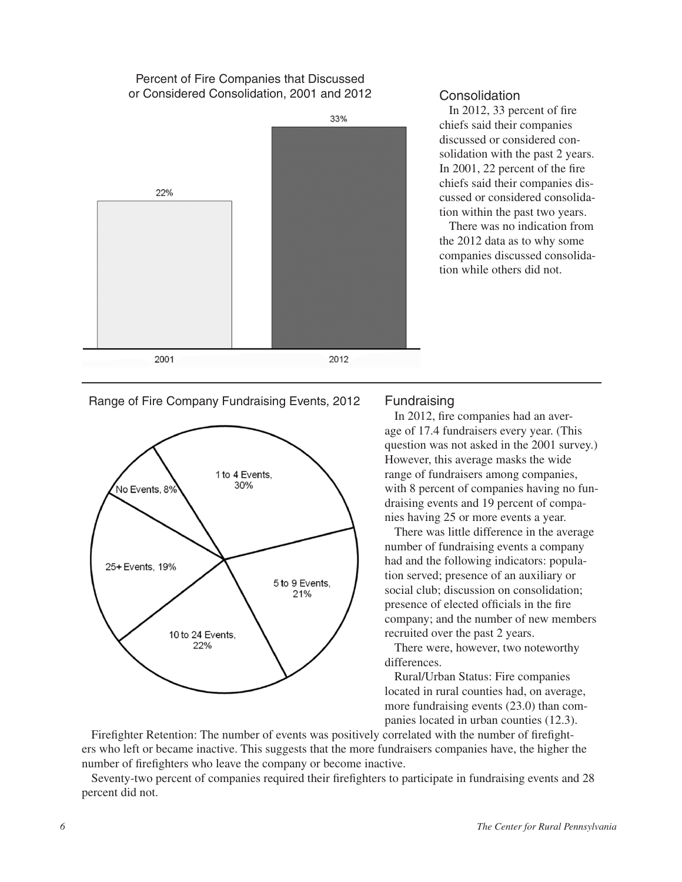#### Percent of Fire Companies that Discussed or Considered Consolidation, 2001 and 2012



#### **Consolidation**

In 2012, 33 percent of fire chiefs said their companies discussed or considered consolidation with the past 2 years. In 2001, 22 percent of the fire chiefs said their companies discussed or considered consolidation within the past two years.

There was no indication from the 2012 data as to why some companies discussed consolidation while others did not.

#### Range of Fire Company Fundraising Events, 2012



#### Fundraising

In 2012, fire companies had an average of 17.4 fundraisers every year. (This question was not asked in the 2001 survey.) However, this average masks the wide range of fundraisers among companies, with 8 percent of companies having no fundraising events and 19 percent of companies having 25 or more events a year.

There was little difference in the average number of fundraising events a company had and the following indicators: population served; presence of an auxiliary or social club; discussion on consolidation; presence of elected officials in the fire company; and the number of new members recruited over the past 2 years.

There were, however, two noteworthy differences.

Rural/Urban Status: Fire companies located in rural counties had, on average, more fundraising events (23.0) than companies located in urban counties (12.3).

Firefighter Retention: The number of events was positively correlated with the number of firefighters who left or became inactive. This suggests that the more fundraisers companies have, the higher the number of firefighters who leave the company or become inactive.

Seventy-two percent of companies required their firefighters to participate in fundraising events and 28 percent did not.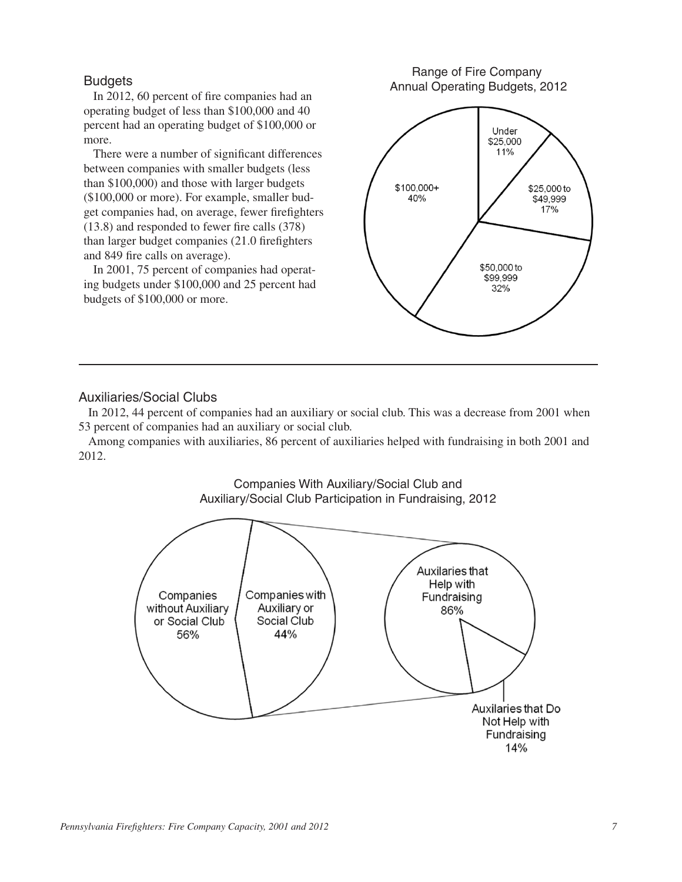#### **Budgets**

In 2012, 60 percent of fire companies had an operating budget of less than \$100,000 and 40 percent had an operating budget of \$100,000 or more.

There were a number of significant differences between companies with smaller budgets (less than \$100,000) and those with larger budgets (\$100,000 or more). For example, smaller budget companies had, on average, fewer firefighters (13.8) and responded to fewer fire calls (378) than larger budget companies (21.0 firefighters and 849 fire calls on average).

In 2001, 75 percent of companies had operating budgets under \$100,000 and 25 percent had budgets of \$100,000 or more.

Range of Fire Company Annual Operating Budgets, 2012



#### Auxiliaries/Social Clubs

In 2012, 44 percent of companies had an auxiliary or social club. This was a decrease from 2001 when 53 percent of companies had an auxiliary or social club.

Among companies with auxiliaries, 86 percent of auxiliaries helped with fundraising in both 2001 and 2012.



### Companies With Auxiliary/Social Club and Auxiliary/Social Club Participation in Fundraising, 2012